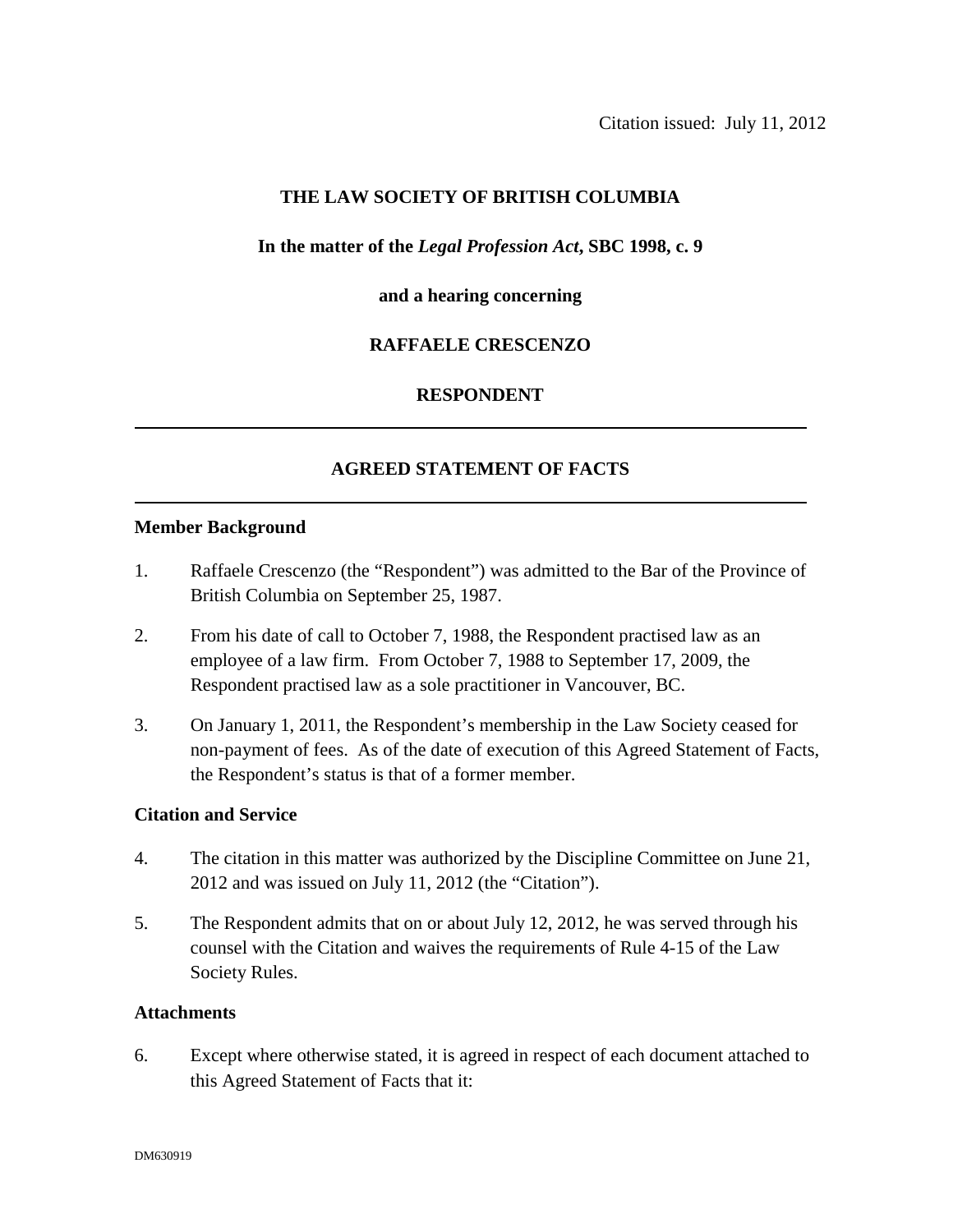# **THE LAW SOCIETY OF BRITISH COLUMBIA**

### **In the matter of the** *Legal Profession Act***, SBC 1998, c. 9**

#### **and a hearing concerning**

### **RAFFAELE CRESCENZO**

#### **RESPONDENT**

### **AGREED STATEMENT OF FACTS**

#### **Member Background**

- 1. Raffaele Crescenzo (the "Respondent") was admitted to the Bar of the Province of British Columbia on September 25, 1987.
- 2. From his date of call to October 7, 1988, the Respondent practised law as an employee of a law firm. From October 7, 1988 to September 17, 2009, the Respondent practised law as a sole practitioner in Vancouver, BC.
- 3. On January 1, 2011, the Respondent's membership in the Law Society ceased for non-payment of fees. As of the date of execution of this Agreed Statement of Facts, the Respondent's status is that of a former member.

#### **Citation and Service**

- 4. The citation in this matter was authorized by the Discipline Committee on June 21, 2012 and was issued on July 11, 2012 (the "Citation").
- 5. The Respondent admits that on or about July 12, 2012, he was served through his counsel with the Citation and waives the requirements of Rule 4-15 of the Law Society Rules.

#### **Attachments**

6. Except where otherwise stated, it is agreed in respect of each document attached to this Agreed Statement of Facts that it: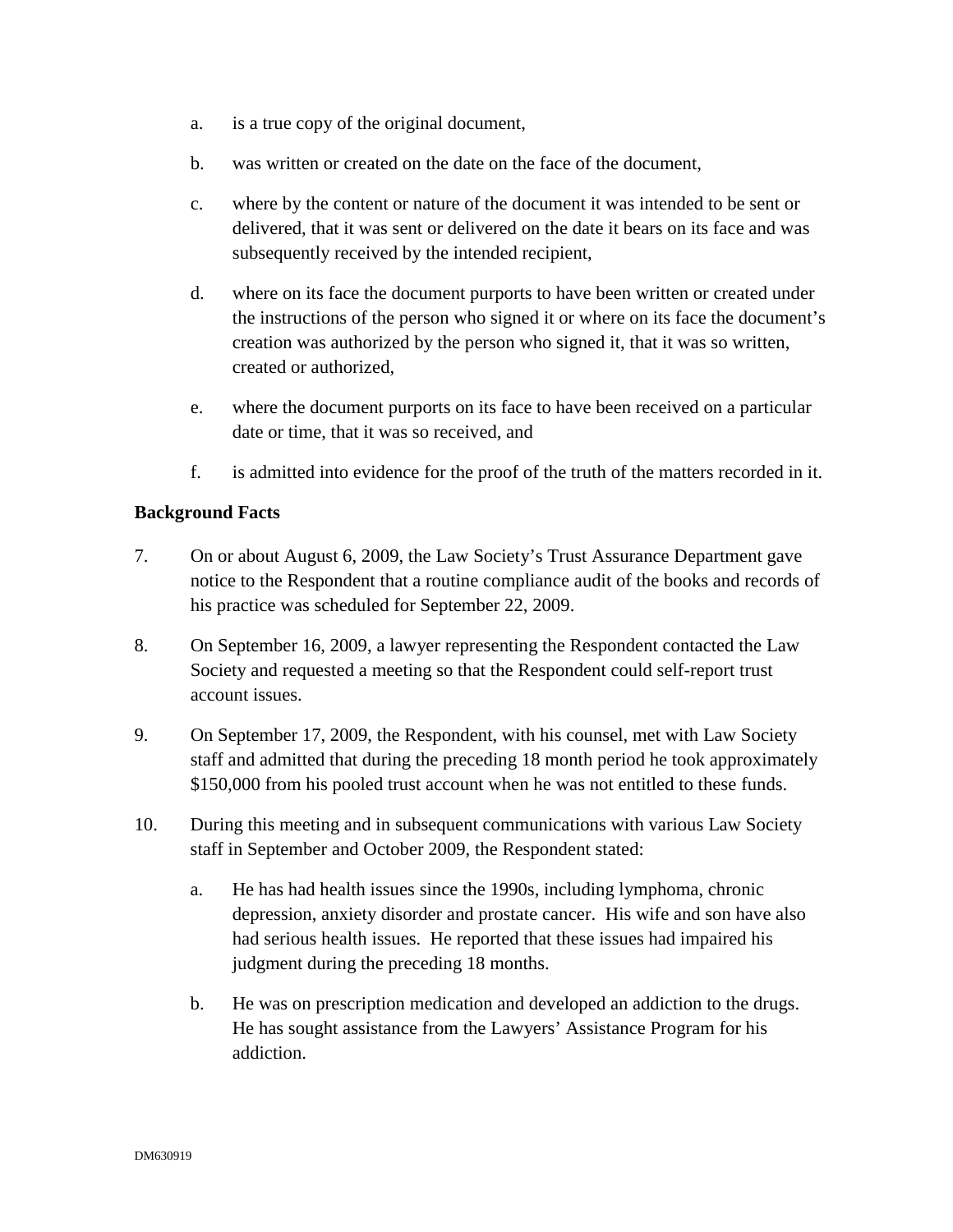- a. is a true copy of the original document,
- b. was written or created on the date on the face of the document,
- c. where by the content or nature of the document it was intended to be sent or delivered, that it was sent or delivered on the date it bears on its face and was subsequently received by the intended recipient,
- d. where on its face the document purports to have been written or created under the instructions of the person who signed it or where on its face the document's creation was authorized by the person who signed it, that it was so written, created or authorized,
- e. where the document purports on its face to have been received on a particular date or time, that it was so received, and
- f. is admitted into evidence for the proof of the truth of the matters recorded in it.

### **Background Facts**

- 7. On or about August 6, 2009, the Law Society's Trust Assurance Department gave notice to the Respondent that a routine compliance audit of the books and records of his practice was scheduled for September 22, 2009.
- 8. On September 16, 2009, a lawyer representing the Respondent contacted the Law Society and requested a meeting so that the Respondent could self-report trust account issues.
- 9. On September 17, 2009, the Respondent, with his counsel, met with Law Society staff and admitted that during the preceding 18 month period he took approximately \$150,000 from his pooled trust account when he was not entitled to these funds.
- 10. During this meeting and in subsequent communications with various Law Society staff in September and October 2009, the Respondent stated:
	- a. He has had health issues since the 1990s, including lymphoma, chronic depression, anxiety disorder and prostate cancer. His wife and son have also had serious health issues. He reported that these issues had impaired his judgment during the preceding 18 months.
	- b. He was on prescription medication and developed an addiction to the drugs. He has sought assistance from the Lawyers' Assistance Program for his addiction.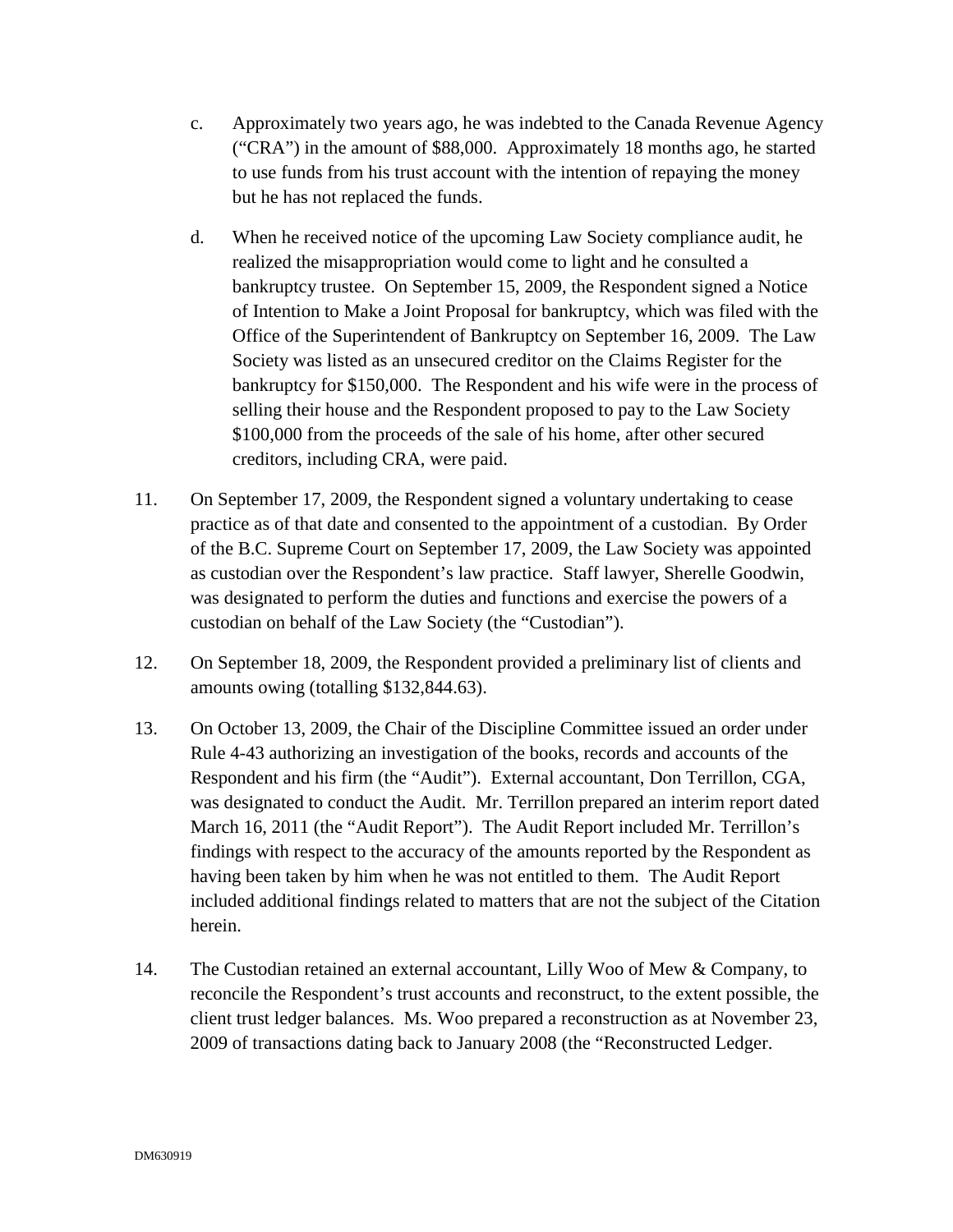- c. Approximately two years ago, he was indebted to the Canada Revenue Agency ("CRA") in the amount of \$88,000. Approximately 18 months ago, he started to use funds from his trust account with the intention of repaying the money but he has not replaced the funds.
- d. When he received notice of the upcoming Law Society compliance audit, he realized the misappropriation would come to light and he consulted a bankruptcy trustee. On September 15, 2009, the Respondent signed a Notice of Intention to Make a Joint Proposal for bankruptcy, which was filed with the Office of the Superintendent of Bankruptcy on September 16, 2009. The Law Society was listed as an unsecured creditor on the Claims Register for the bankruptcy for \$150,000. The Respondent and his wife were in the process of selling their house and the Respondent proposed to pay to the Law Society \$100,000 from the proceeds of the sale of his home, after other secured creditors, including CRA, were paid.
- 11. On September 17, 2009, the Respondent signed a voluntary undertaking to cease practice as of that date and consented to the appointment of a custodian. By Order of the B.C. Supreme Court on September 17, 2009, the Law Society was appointed as custodian over the Respondent's law practice. Staff lawyer, Sherelle Goodwin, was designated to perform the duties and functions and exercise the powers of a custodian on behalf of the Law Society (the "Custodian").
- 12. On September 18, 2009, the Respondent provided a preliminary list of clients and amounts owing (totalling \$132,844.63).
- 13. On October 13, 2009, the Chair of the Discipline Committee issued an order under Rule 4-43 authorizing an investigation of the books, records and accounts of the Respondent and his firm (the "Audit"). External accountant, Don Terrillon, CGA, was designated to conduct the Audit. Mr. Terrillon prepared an interim report dated March 16, 2011 (the "Audit Report"). The Audit Report included Mr. Terrillon's findings with respect to the accuracy of the amounts reported by the Respondent as having been taken by him when he was not entitled to them. The Audit Report included additional findings related to matters that are not the subject of the Citation herein.
- 14. The Custodian retained an external accountant, Lilly Woo of Mew & Company, to reconcile the Respondent's trust accounts and reconstruct, to the extent possible, the client trust ledger balances. Ms. Woo prepared a reconstruction as at November 23, 2009 of transactions dating back to January 2008 (the "Reconstructed Ledger.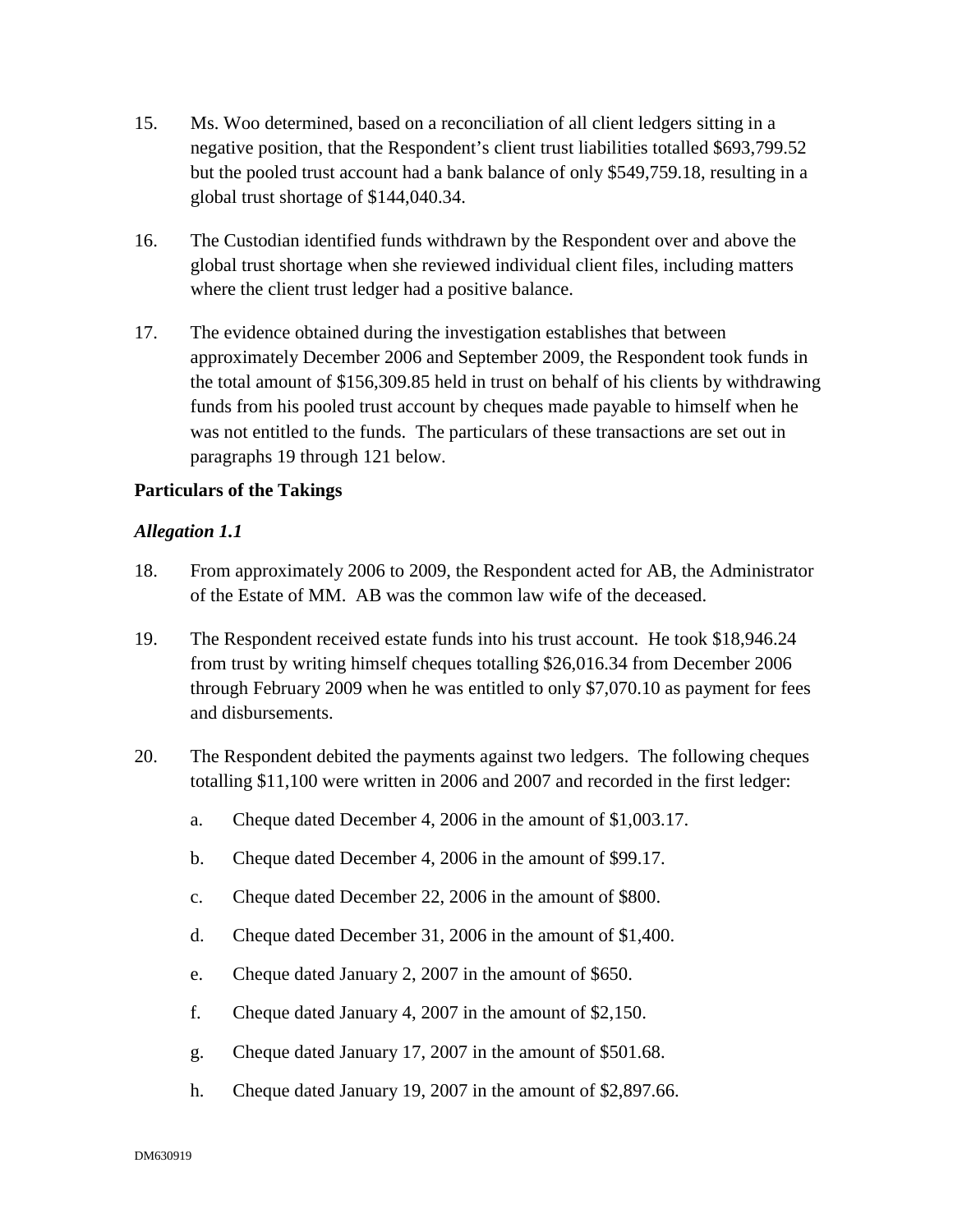- 15. Ms. Woo determined, based on a reconciliation of all client ledgers sitting in a negative position, that the Respondent's client trust liabilities totalled \$693,799.52 but the pooled trust account had a bank balance of only \$549,759.18, resulting in a global trust shortage of \$144,040.34.
- 16. The Custodian identified funds withdrawn by the Respondent over and above the global trust shortage when she reviewed individual client files, including matters where the client trust ledger had a positive balance.
- 17. The evidence obtained during the investigation establishes that between approximately December 2006 and September 2009, the Respondent took funds in the total amount of \$156,309.85 held in trust on behalf of his clients by withdrawing funds from his pooled trust account by cheques made payable to himself when he was not entitled to the funds. The particulars of these transactions are set out in paragraphs 19 through 121 below.

### **Particulars of the Takings**

- 18. From approximately 2006 to 2009, the Respondent acted for AB, the Administrator of the Estate of MM. AB was the common law wife of the deceased.
- 19. The Respondent received estate funds into his trust account. He took \$18,946.24 from trust by writing himself cheques totalling \$26,016.34 from December 2006 through February 2009 when he was entitled to only \$7,070.10 as payment for fees and disbursements.
- 20. The Respondent debited the payments against two ledgers. The following cheques totalling \$11,100 were written in 2006 and 2007 and recorded in the first ledger:
	- a. Cheque dated December 4, 2006 in the amount of \$1,003.17.
	- b. Cheque dated December 4, 2006 in the amount of \$99.17.
	- c. Cheque dated December 22, 2006 in the amount of \$800.
	- d. Cheque dated December 31, 2006 in the amount of \$1,400.
	- e. Cheque dated January 2, 2007 in the amount of \$650.
	- f. Cheque dated January 4, 2007 in the amount of \$2,150.
	- g. Cheque dated January 17, 2007 in the amount of \$501.68.
	- h. Cheque dated January 19, 2007 in the amount of \$2,897.66.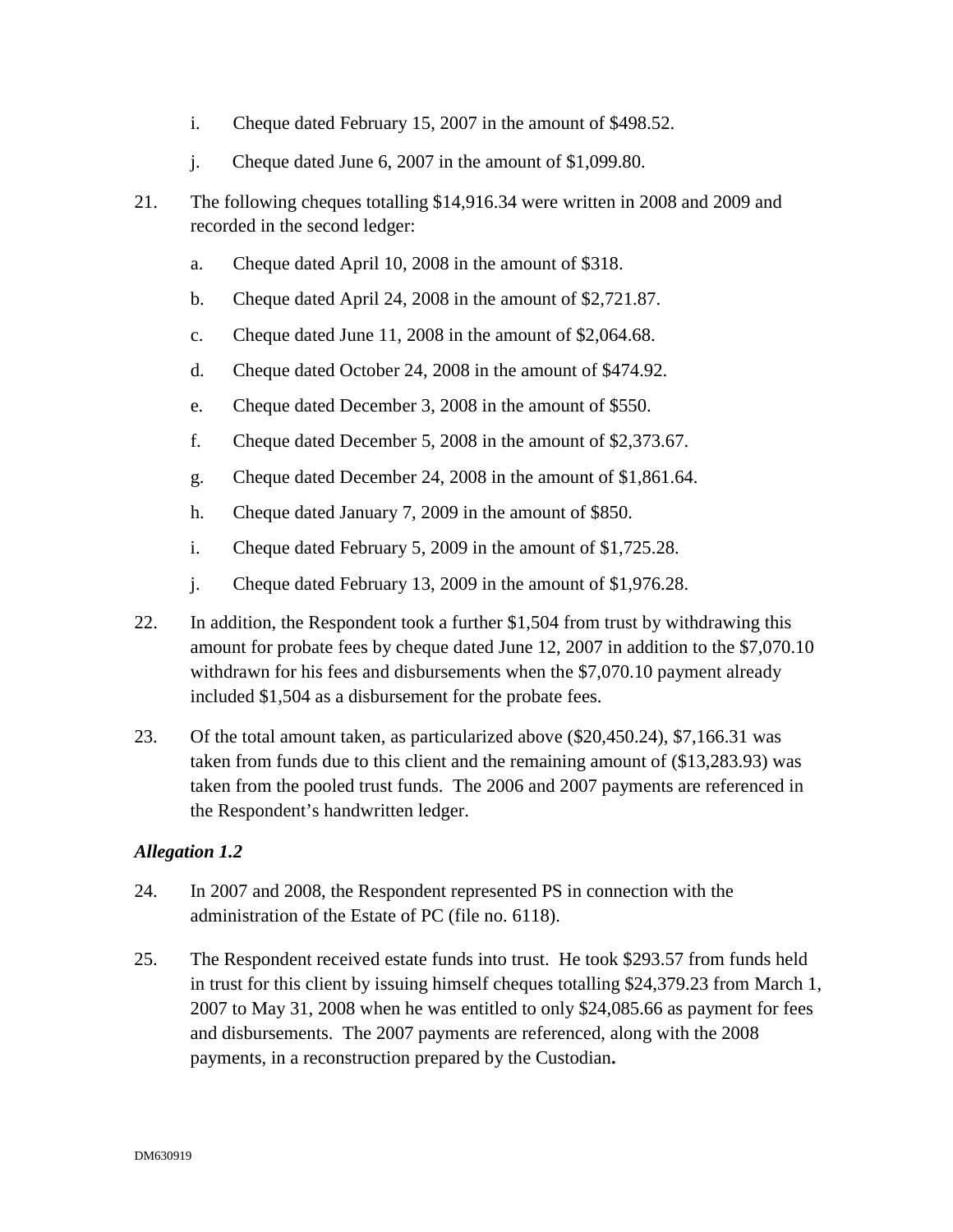- i. Cheque dated February 15, 2007 in the amount of \$498.52.
- j. Cheque dated June 6, 2007 in the amount of \$1,099.80.
- 21. The following cheques totalling \$14,916.34 were written in 2008 and 2009 and recorded in the second ledger:
	- a. Cheque dated April 10, 2008 in the amount of \$318.
	- b. Cheque dated April 24, 2008 in the amount of \$2,721.87.
	- c. Cheque dated June 11, 2008 in the amount of \$2,064.68.
	- d. Cheque dated October 24, 2008 in the amount of \$474.92.
	- e. Cheque dated December 3, 2008 in the amount of \$550.
	- f. Cheque dated December 5, 2008 in the amount of \$2,373.67.
	- g. Cheque dated December 24, 2008 in the amount of \$1,861.64.
	- h. Cheque dated January 7, 2009 in the amount of \$850.
	- i. Cheque dated February 5, 2009 in the amount of \$1,725.28.
	- j. Cheque dated February 13, 2009 in the amount of \$1,976.28.
- 22. In addition, the Respondent took a further \$1,504 from trust by withdrawing this amount for probate fees by cheque dated June 12, 2007 in addition to the \$7,070.10 withdrawn for his fees and disbursements when the \$7,070.10 payment already included \$1,504 as a disbursement for the probate fees.
- 23. Of the total amount taken, as particularized above (\$20,450.24), \$7,166.31 was taken from funds due to this client and the remaining amount of (\$13,283.93) was taken from the pooled trust funds. The 2006 and 2007 payments are referenced in the Respondent's handwritten ledger.

- 24. In 2007 and 2008, the Respondent represented PS in connection with the administration of the Estate of PC (file no. 6118).
- 25. The Respondent received estate funds into trust. He took \$293.57 from funds held in trust for this client by issuing himself cheques totalling \$24,379.23 from March 1, 2007 to May 31, 2008 when he was entitled to only \$24,085.66 as payment for fees and disbursements. The 2007 payments are referenced, along with the 2008 payments, in a reconstruction prepared by the Custodian**.**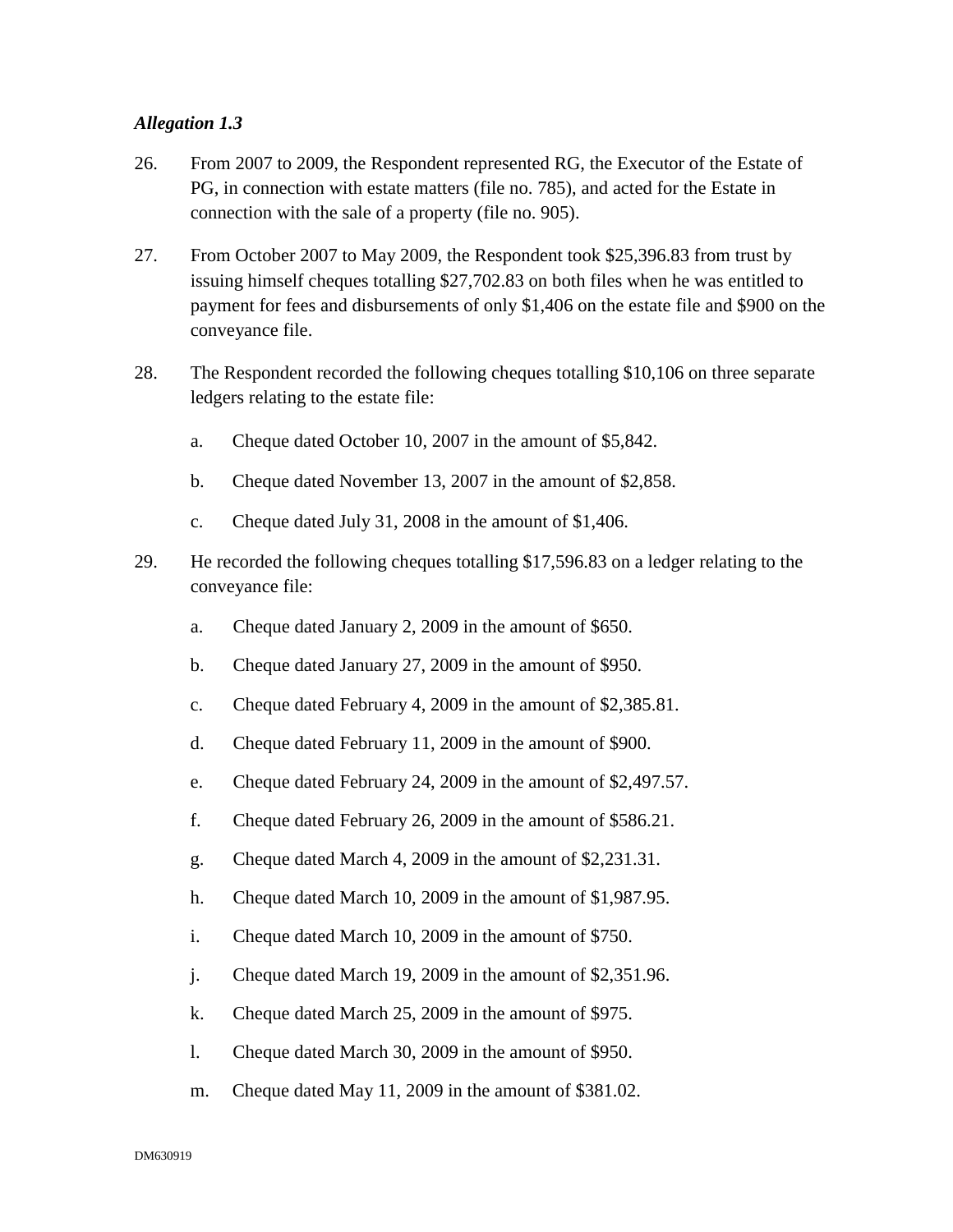- 26. From 2007 to 2009, the Respondent represented RG, the Executor of the Estate of PG, in connection with estate matters (file no. 785), and acted for the Estate in connection with the sale of a property (file no. 905).
- 27. From October 2007 to May 2009, the Respondent took \$25,396.83 from trust by issuing himself cheques totalling \$27,702.83 on both files when he was entitled to payment for fees and disbursements of only \$1,406 on the estate file and \$900 on the conveyance file.
- 28. The Respondent recorded the following cheques totalling \$10,106 on three separate ledgers relating to the estate file:
	- a. Cheque dated October 10, 2007 in the amount of \$5,842.
	- b. Cheque dated November 13, 2007 in the amount of \$2,858.
	- c. Cheque dated July 31, 2008 in the amount of \$1,406.
- 29. He recorded the following cheques totalling \$17,596.83 on a ledger relating to the conveyance file:
	- a. Cheque dated January 2, 2009 in the amount of \$650.
	- b. Cheque dated January 27, 2009 in the amount of \$950.
	- c. Cheque dated February 4, 2009 in the amount of \$2,385.81.
	- d. Cheque dated February 11, 2009 in the amount of \$900.
	- e. Cheque dated February 24, 2009 in the amount of \$2,497.57.
	- f. Cheque dated February 26, 2009 in the amount of \$586.21.
	- g. Cheque dated March 4, 2009 in the amount of \$2,231.31.
	- h. Cheque dated March 10, 2009 in the amount of \$1,987.95.
	- i. Cheque dated March 10, 2009 in the amount of \$750.
	- j. Cheque dated March 19, 2009 in the amount of \$2,351.96.
	- k. Cheque dated March 25, 2009 in the amount of \$975.
	- l. Cheque dated March 30, 2009 in the amount of \$950.
	- m. Cheque dated May 11, 2009 in the amount of \$381.02.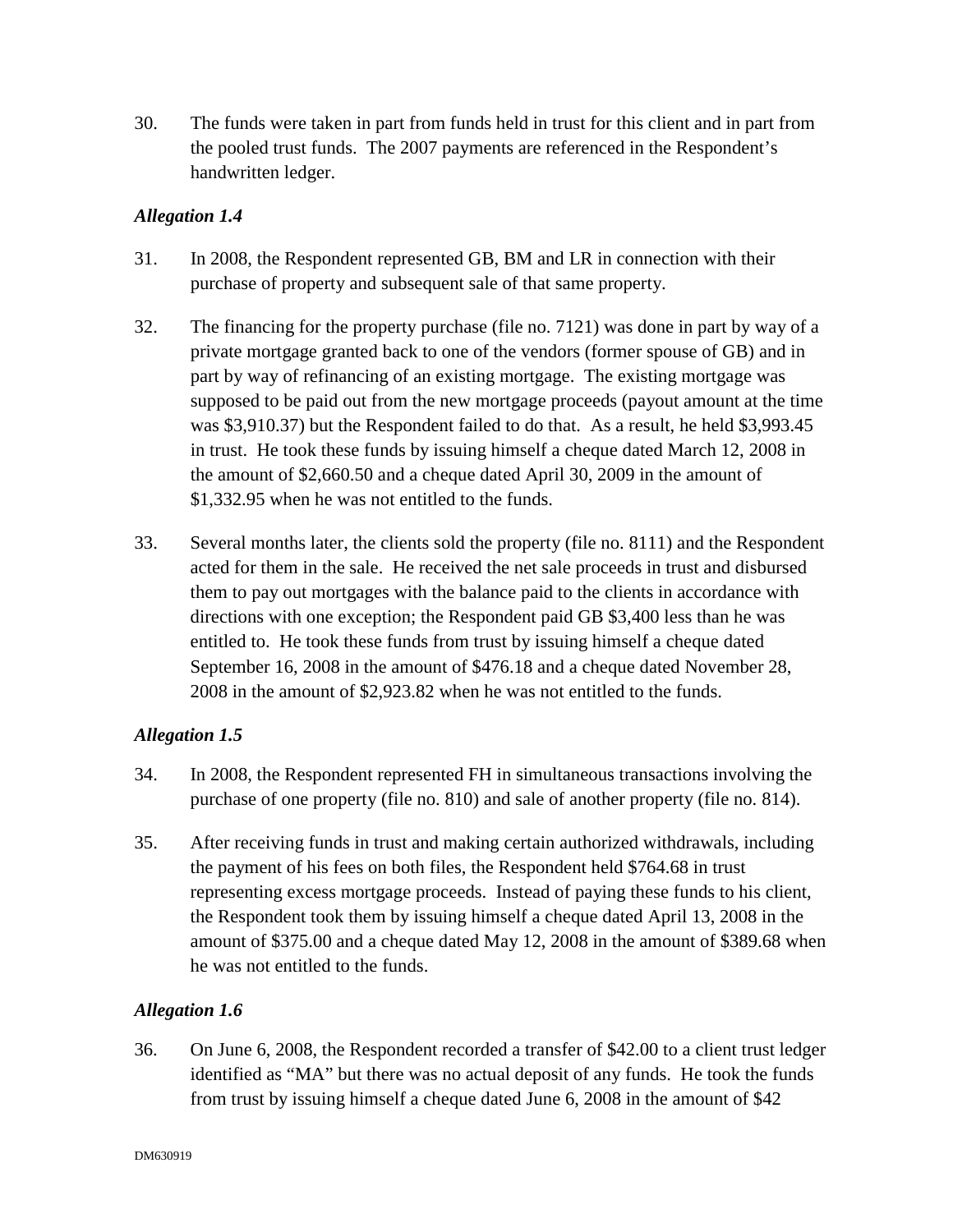30. The funds were taken in part from funds held in trust for this client and in part from the pooled trust funds. The 2007 payments are referenced in the Respondent's handwritten ledger.

# *Allegation 1.4*

- 31. In 2008, the Respondent represented GB, BM and LR in connection with their purchase of property and subsequent sale of that same property.
- 32. The financing for the property purchase (file no. 7121) was done in part by way of a private mortgage granted back to one of the vendors (former spouse of GB) and in part by way of refinancing of an existing mortgage. The existing mortgage was supposed to be paid out from the new mortgage proceeds (payout amount at the time was \$3,910.37) but the Respondent failed to do that. As a result, he held \$3,993.45 in trust. He took these funds by issuing himself a cheque dated March 12, 2008 in the amount of \$2,660.50 and a cheque dated April 30, 2009 in the amount of \$1,332.95 when he was not entitled to the funds.
- 33. Several months later, the clients sold the property (file no. 8111) and the Respondent acted for them in the sale. He received the net sale proceeds in trust and disbursed them to pay out mortgages with the balance paid to the clients in accordance with directions with one exception; the Respondent paid GB \$3,400 less than he was entitled to. He took these funds from trust by issuing himself a cheque dated September 16, 2008 in the amount of \$476.18 and a cheque dated November 28, 2008 in the amount of \$2,923.82 when he was not entitled to the funds.

# *Allegation 1.5*

- 34. In 2008, the Respondent represented FH in simultaneous transactions involving the purchase of one property (file no. 810) and sale of another property (file no. 814).
- 35. After receiving funds in trust and making certain authorized withdrawals, including the payment of his fees on both files, the Respondent held \$764.68 in trust representing excess mortgage proceeds. Instead of paying these funds to his client, the Respondent took them by issuing himself a cheque dated April 13, 2008 in the amount of \$375.00 and a cheque dated May 12, 2008 in the amount of \$389.68 when he was not entitled to the funds.

# *Allegation 1.6*

36. On June 6, 2008, the Respondent recorded a transfer of \$42.00 to a client trust ledger identified as "MA" but there was no actual deposit of any funds. He took the funds from trust by issuing himself a cheque dated June 6, 2008 in the amount of \$42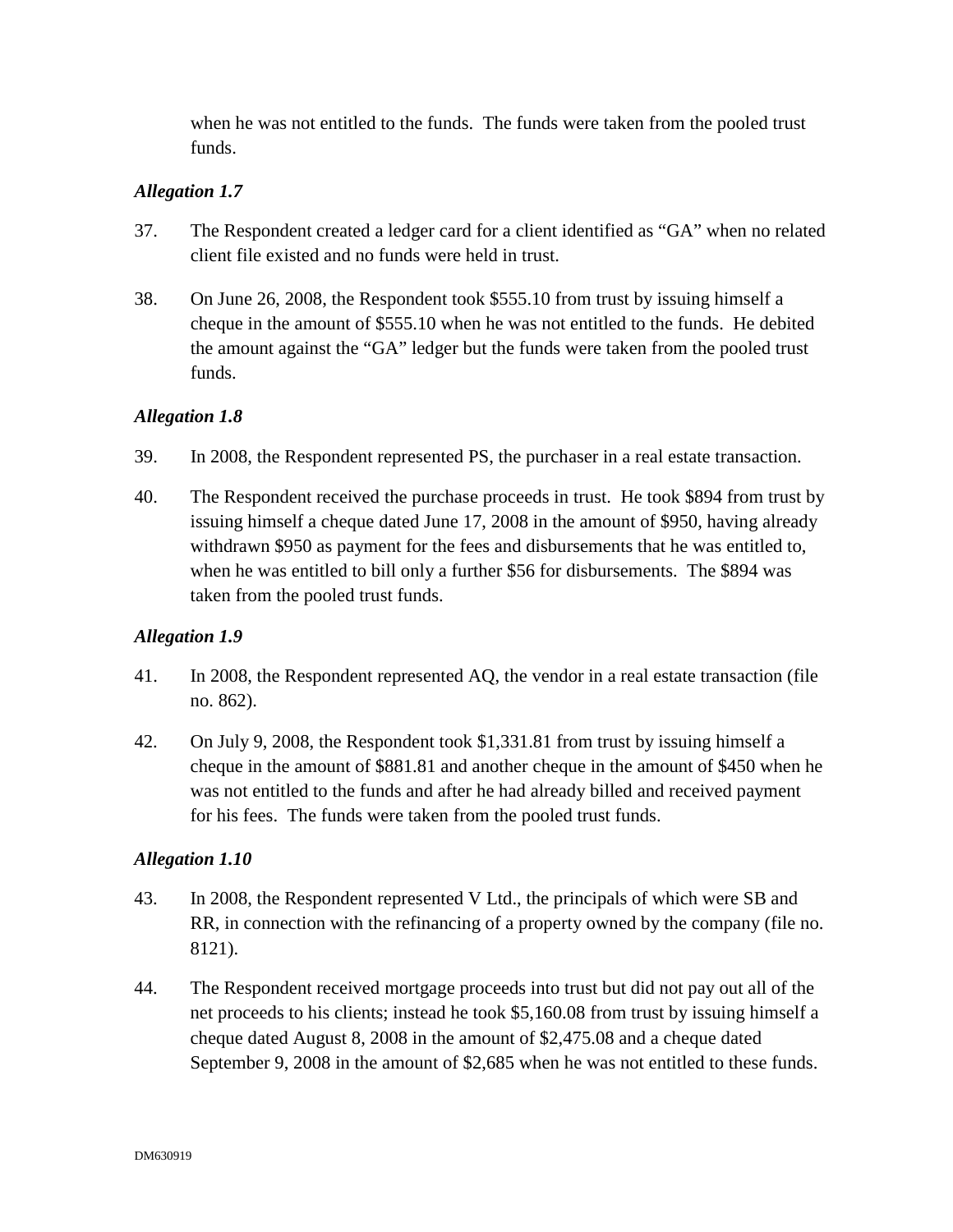when he was not entitled to the funds. The funds were taken from the pooled trust funds.

### *Allegation 1.7*

- 37. The Respondent created a ledger card for a client identified as "GA" when no related client file existed and no funds were held in trust.
- 38. On June 26, 2008, the Respondent took \$555.10 from trust by issuing himself a cheque in the amount of \$555.10 when he was not entitled to the funds. He debited the amount against the "GA" ledger but the funds were taken from the pooled trust funds.

# *Allegation 1.8*

- 39. In 2008, the Respondent represented PS, the purchaser in a real estate transaction.
- 40. The Respondent received the purchase proceeds in trust. He took \$894 from trust by issuing himself a cheque dated June 17, 2008 in the amount of \$950, having already withdrawn \$950 as payment for the fees and disbursements that he was entitled to, when he was entitled to bill only a further \$56 for disbursements. The \$894 was taken from the pooled trust funds.

# *Allegation 1.9*

- 41. In 2008, the Respondent represented AQ, the vendor in a real estate transaction (file no. 862).
- 42. On July 9, 2008, the Respondent took \$1,331.81 from trust by issuing himself a cheque in the amount of \$881.81 and another cheque in the amount of \$450 when he was not entitled to the funds and after he had already billed and received payment for his fees. The funds were taken from the pooled trust funds.

- 43. In 2008, the Respondent represented V Ltd., the principals of which were SB and RR, in connection with the refinancing of a property owned by the company (file no. 8121).
- 44. The Respondent received mortgage proceeds into trust but did not pay out all of the net proceeds to his clients; instead he took \$5,160.08 from trust by issuing himself a cheque dated August 8, 2008 in the amount of \$2,475.08 and a cheque dated September 9, 2008 in the amount of \$2,685 when he was not entitled to these funds.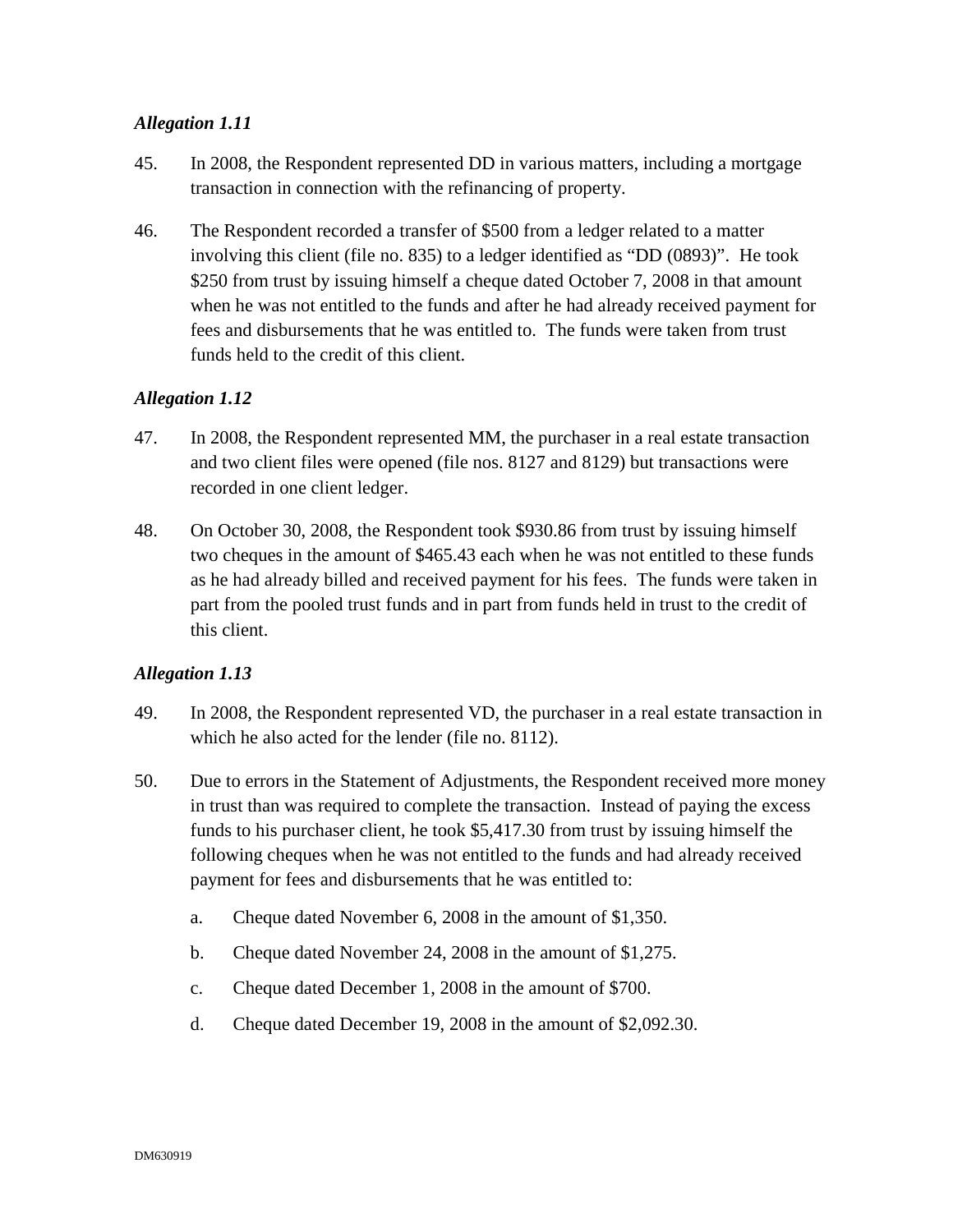- 45. In 2008, the Respondent represented DD in various matters, including a mortgage transaction in connection with the refinancing of property.
- 46. The Respondent recorded a transfer of \$500 from a ledger related to a matter involving this client (file no. 835) to a ledger identified as "DD (0893)". He took \$250 from trust by issuing himself a cheque dated October 7, 2008 in that amount when he was not entitled to the funds and after he had already received payment for fees and disbursements that he was entitled to. The funds were taken from trust funds held to the credit of this client.

### *Allegation 1.12*

- 47. In 2008, the Respondent represented MM, the purchaser in a real estate transaction and two client files were opened (file nos. 8127 and 8129) but transactions were recorded in one client ledger.
- 48. On October 30, 2008, the Respondent took \$930.86 from trust by issuing himself two cheques in the amount of \$465.43 each when he was not entitled to these funds as he had already billed and received payment for his fees. The funds were taken in part from the pooled trust funds and in part from funds held in trust to the credit of this client.

- 49. In 2008, the Respondent represented VD, the purchaser in a real estate transaction in which he also acted for the lender (file no. 8112).
- 50. Due to errors in the Statement of Adjustments, the Respondent received more money in trust than was required to complete the transaction. Instead of paying the excess funds to his purchaser client, he took \$5,417.30 from trust by issuing himself the following cheques when he was not entitled to the funds and had already received payment for fees and disbursements that he was entitled to:
	- a. Cheque dated November 6, 2008 in the amount of \$1,350.
	- b. Cheque dated November 24, 2008 in the amount of \$1,275.
	- c. Cheque dated December 1, 2008 in the amount of \$700.
	- d. Cheque dated December 19, 2008 in the amount of \$2,092.30.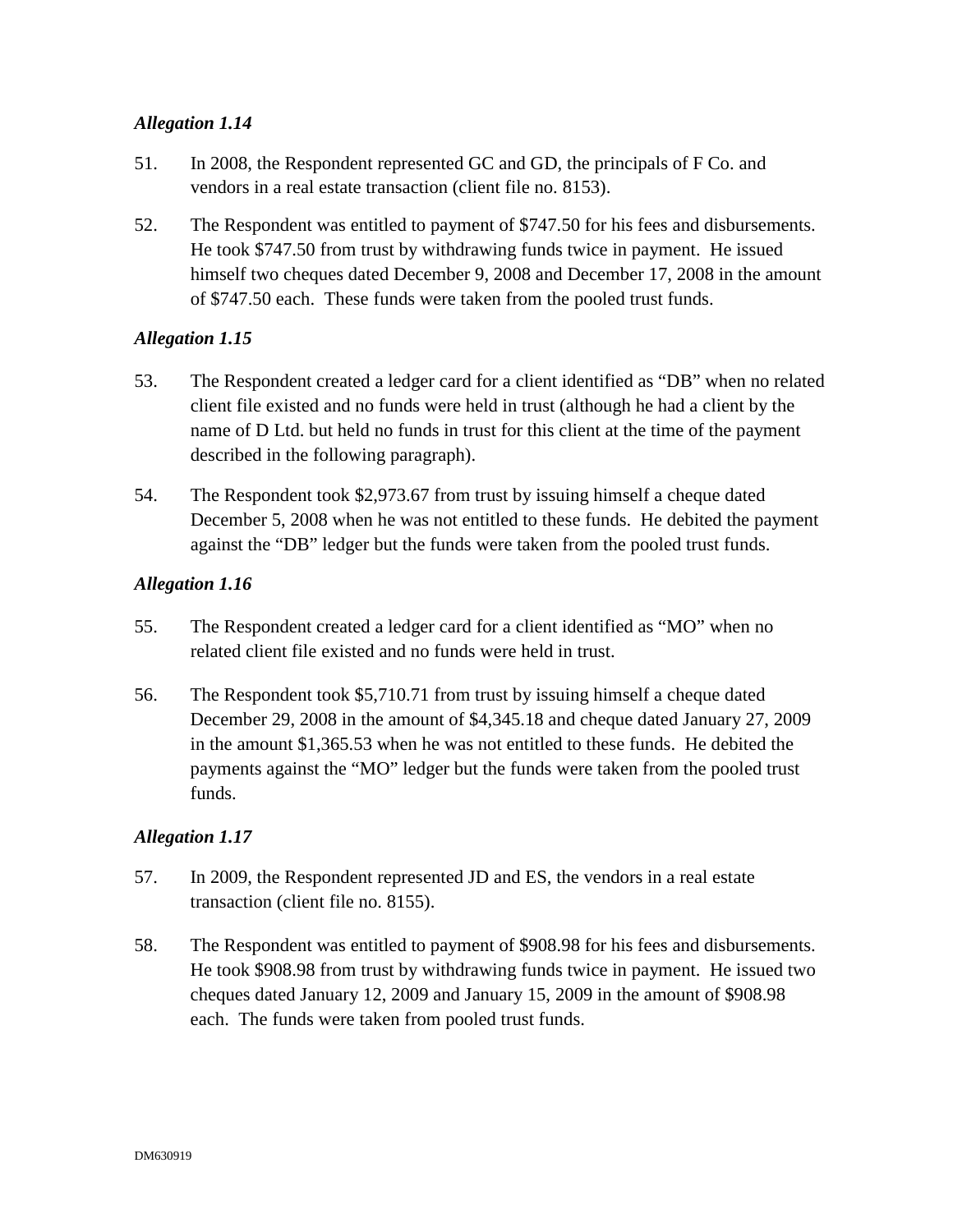- 51. In 2008, the Respondent represented GC and GD, the principals of F Co. and vendors in a real estate transaction (client file no. 8153).
- 52. The Respondent was entitled to payment of \$747.50 for his fees and disbursements. He took \$747.50 from trust by withdrawing funds twice in payment. He issued himself two cheques dated December 9, 2008 and December 17, 2008 in the amount of \$747.50 each. These funds were taken from the pooled trust funds.

### *Allegation 1.15*

- 53. The Respondent created a ledger card for a client identified as "DB" when no related client file existed and no funds were held in trust (although he had a client by the name of D Ltd. but held no funds in trust for this client at the time of the payment described in the following paragraph).
- 54. The Respondent took \$2,973.67 from trust by issuing himself a cheque dated December 5, 2008 when he was not entitled to these funds. He debited the payment against the "DB" ledger but the funds were taken from the pooled trust funds.

### *Allegation 1.16*

- 55. The Respondent created a ledger card for a client identified as "MO" when no related client file existed and no funds were held in trust.
- 56. The Respondent took \$5,710.71 from trust by issuing himself a cheque dated December 29, 2008 in the amount of \$4,345.18 and cheque dated January 27, 2009 in the amount \$1,365.53 when he was not entitled to these funds. He debited the payments against the "MO" ledger but the funds were taken from the pooled trust funds.

- 57. In 2009, the Respondent represented JD and ES, the vendors in a real estate transaction (client file no. 8155).
- 58. The Respondent was entitled to payment of \$908.98 for his fees and disbursements. He took \$908.98 from trust by withdrawing funds twice in payment. He issued two cheques dated January 12, 2009 and January 15, 2009 in the amount of \$908.98 each. The funds were taken from pooled trust funds.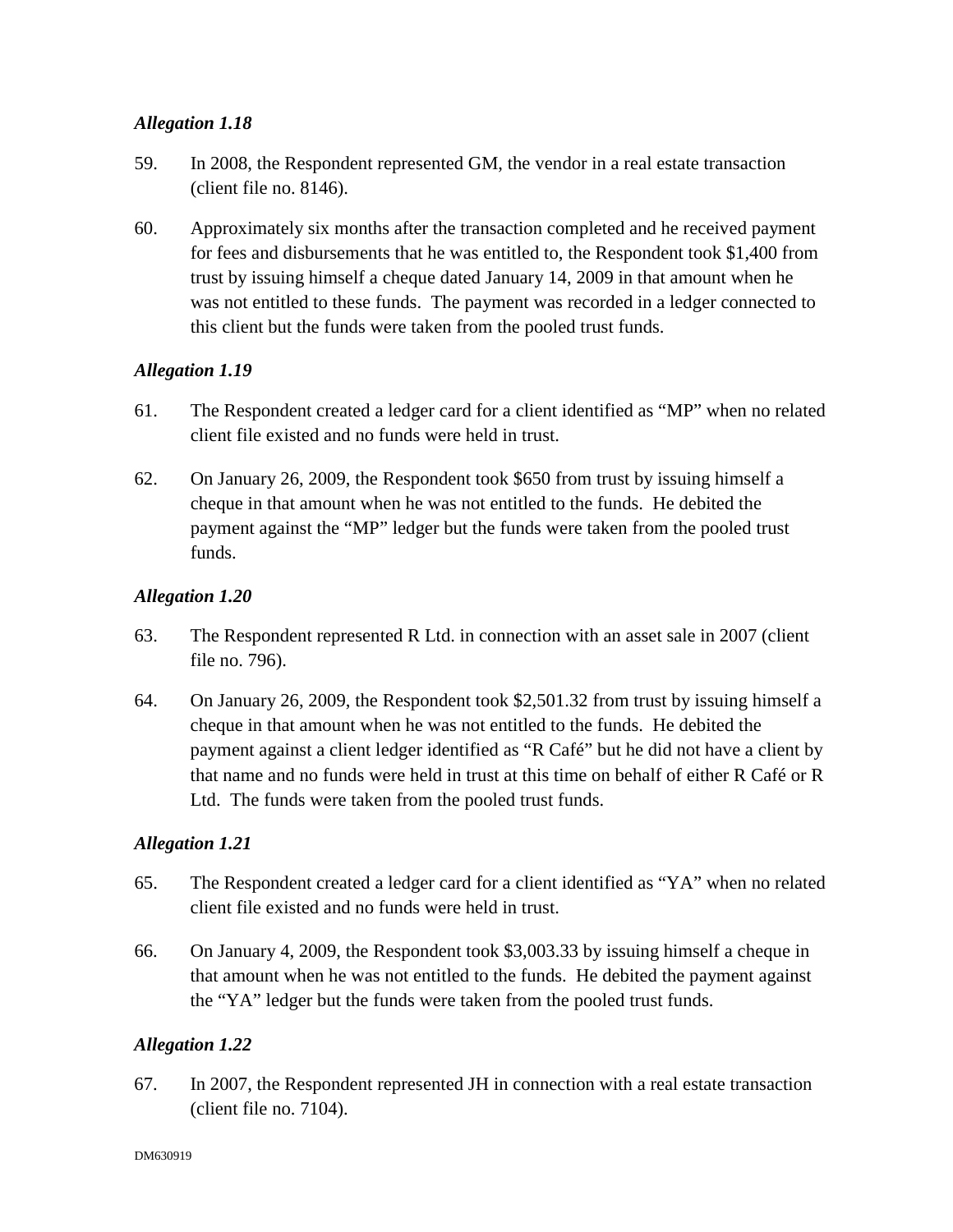- 59. In 2008, the Respondent represented GM, the vendor in a real estate transaction (client file no. 8146).
- 60. Approximately six months after the transaction completed and he received payment for fees and disbursements that he was entitled to, the Respondent took \$1,400 from trust by issuing himself a cheque dated January 14, 2009 in that amount when he was not entitled to these funds. The payment was recorded in a ledger connected to this client but the funds were taken from the pooled trust funds.

### *Allegation 1.19*

- 61. The Respondent created a ledger card for a client identified as "MP" when no related client file existed and no funds were held in trust.
- 62. On January 26, 2009, the Respondent took \$650 from trust by issuing himself a cheque in that amount when he was not entitled to the funds. He debited the payment against the "MP" ledger but the funds were taken from the pooled trust funds.

### *Allegation 1.20*

- 63. The Respondent represented R Ltd. in connection with an asset sale in 2007 (client file no. 796).
- 64. On January 26, 2009, the Respondent took \$2,501.32 from trust by issuing himself a cheque in that amount when he was not entitled to the funds. He debited the payment against a client ledger identified as "R Café" but he did not have a client by that name and no funds were held in trust at this time on behalf of either R Café or R Ltd. The funds were taken from the pooled trust funds.

# *Allegation 1.21*

- 65. The Respondent created a ledger card for a client identified as "YA" when no related client file existed and no funds were held in trust.
- 66. On January 4, 2009, the Respondent took \$3,003.33 by issuing himself a cheque in that amount when he was not entitled to the funds. He debited the payment against the "YA" ledger but the funds were taken from the pooled trust funds.

# *Allegation 1.22*

67. In 2007, the Respondent represented JH in connection with a real estate transaction (client file no. 7104).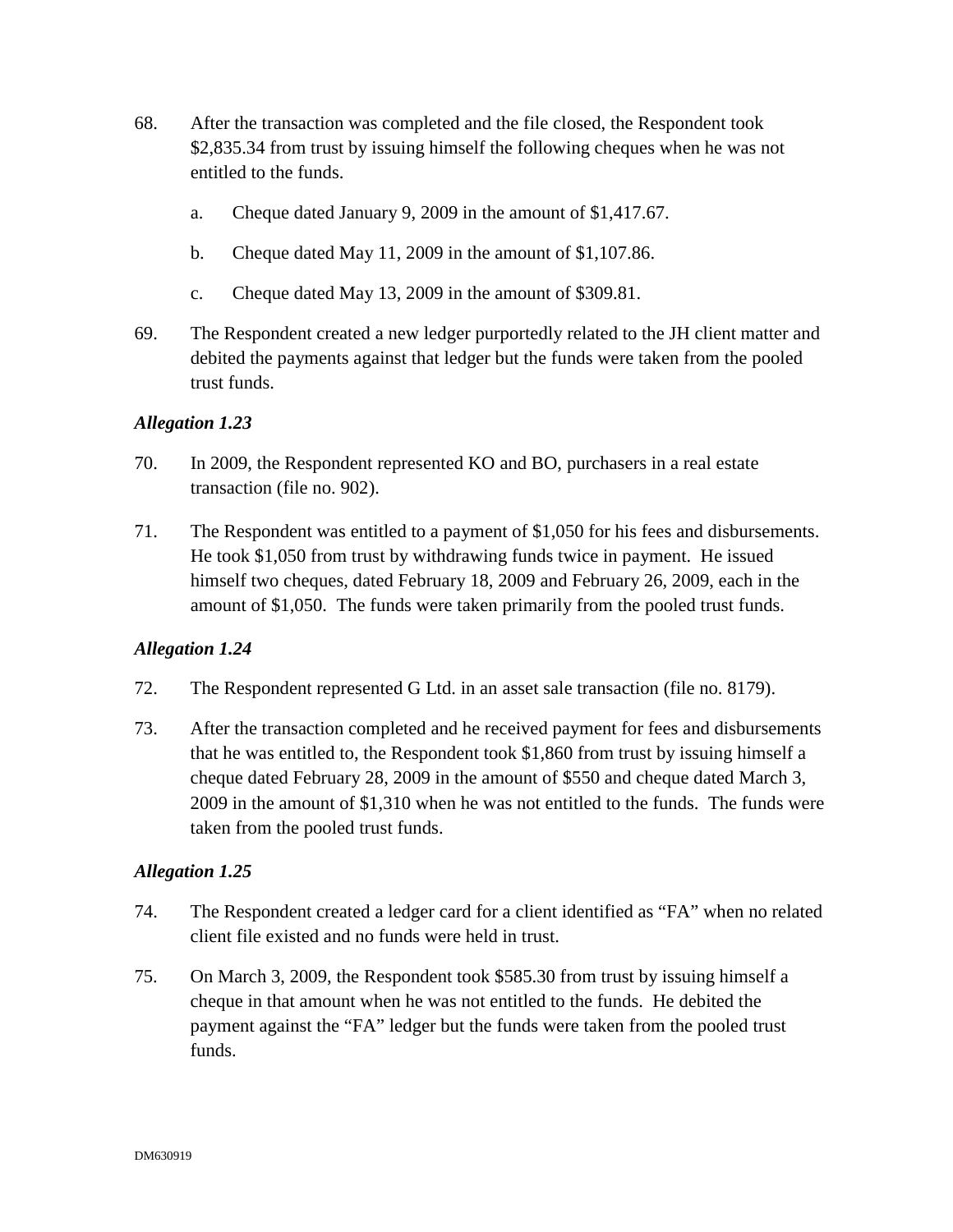- 68. After the transaction was completed and the file closed, the Respondent took \$2,835.34 from trust by issuing himself the following cheques when he was not entitled to the funds.
	- a. Cheque dated January 9, 2009 in the amount of \$1,417.67.
	- b. Cheque dated May 11, 2009 in the amount of \$1,107.86.
	- c. Cheque dated May 13, 2009 in the amount of \$309.81.
- 69. The Respondent created a new ledger purportedly related to the JH client matter and debited the payments against that ledger but the funds were taken from the pooled trust funds.

- 70. In 2009, the Respondent represented KO and BO, purchasers in a real estate transaction (file no. 902).
- 71. The Respondent was entitled to a payment of \$1,050 for his fees and disbursements. He took \$1,050 from trust by withdrawing funds twice in payment. He issued himself two cheques, dated February 18, 2009 and February 26, 2009, each in the amount of \$1,050. The funds were taken primarily from the pooled trust funds.

### *Allegation 1.24*

- 72. The Respondent represented G Ltd. in an asset sale transaction (file no. 8179).
- 73. After the transaction completed and he received payment for fees and disbursements that he was entitled to, the Respondent took \$1,860 from trust by issuing himself a cheque dated February 28, 2009 in the amount of \$550 and cheque dated March 3, 2009 in the amount of \$1,310 when he was not entitled to the funds. The funds were taken from the pooled trust funds.

- 74. The Respondent created a ledger card for a client identified as "FA" when no related client file existed and no funds were held in trust.
- 75. On March 3, 2009, the Respondent took \$585.30 from trust by issuing himself a cheque in that amount when he was not entitled to the funds. He debited the payment against the "FA" ledger but the funds were taken from the pooled trust funds.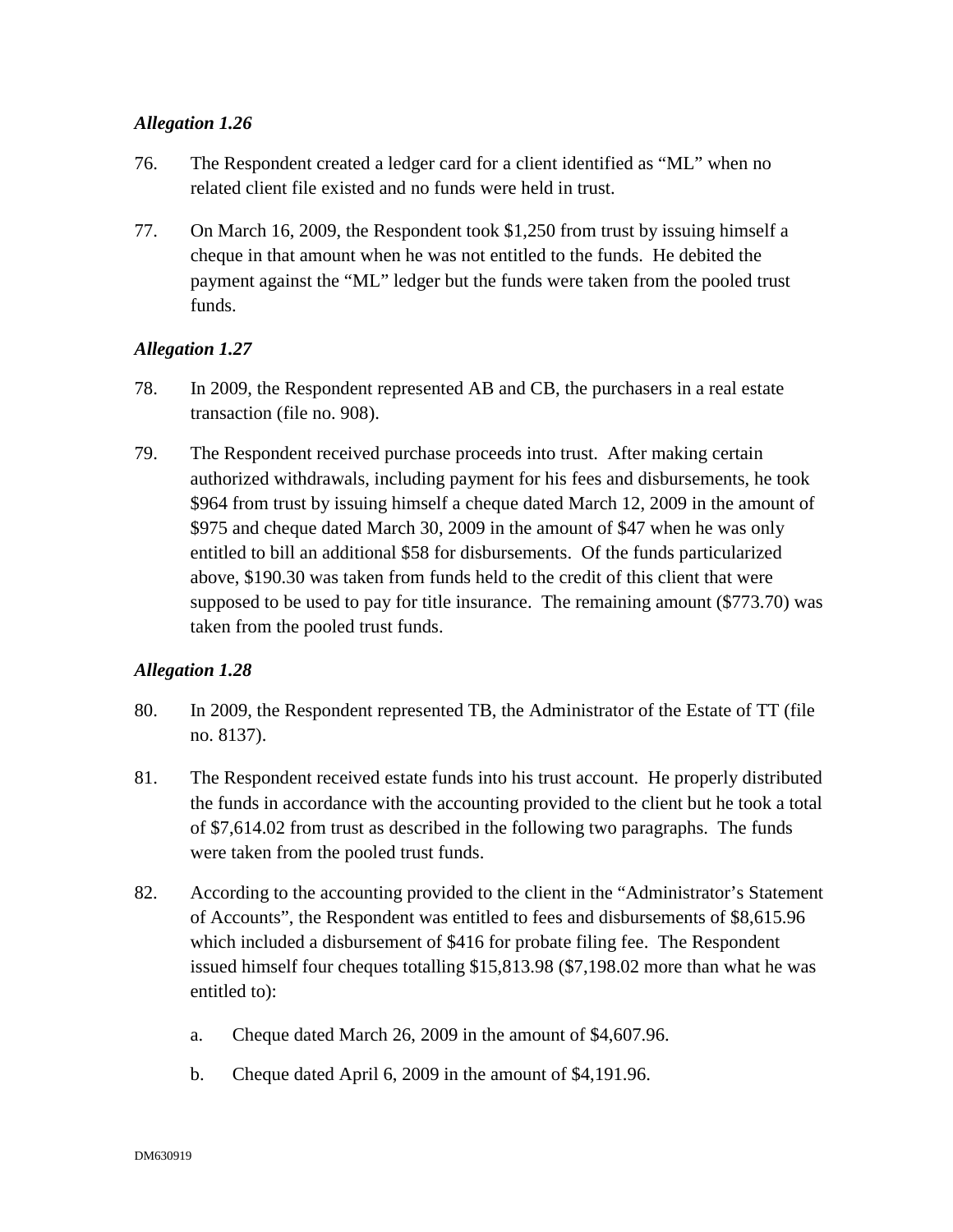- 76. The Respondent created a ledger card for a client identified as "ML" when no related client file existed and no funds were held in trust.
- 77. On March 16, 2009, the Respondent took \$1,250 from trust by issuing himself a cheque in that amount when he was not entitled to the funds. He debited the payment against the "ML" ledger but the funds were taken from the pooled trust funds.

### *Allegation 1.27*

- 78. In 2009, the Respondent represented AB and CB, the purchasers in a real estate transaction (file no. 908).
- 79. The Respondent received purchase proceeds into trust. After making certain authorized withdrawals, including payment for his fees and disbursements, he took \$964 from trust by issuing himself a cheque dated March 12, 2009 in the amount of \$975 and cheque dated March 30, 2009 in the amount of \$47 when he was only entitled to bill an additional \$58 for disbursements. Of the funds particularized above, \$190.30 was taken from funds held to the credit of this client that were supposed to be used to pay for title insurance. The remaining amount (\$773.70) was taken from the pooled trust funds.

- 80. In 2009, the Respondent represented TB, the Administrator of the Estate of TT (file no. 8137).
- 81. The Respondent received estate funds into his trust account. He properly distributed the funds in accordance with the accounting provided to the client but he took a total of \$7,614.02 from trust as described in the following two paragraphs. The funds were taken from the pooled trust funds.
- 82. According to the accounting provided to the client in the "Administrator's Statement of Accounts", the Respondent was entitled to fees and disbursements of \$8,615.96 which included a disbursement of \$416 for probate filing fee. The Respondent issued himself four cheques totalling \$15,813.98 (\$7,198.02 more than what he was entitled to):
	- a. Cheque dated March 26, 2009 in the amount of \$4,607.96.
	- b. Cheque dated April 6, 2009 in the amount of \$4,191.96.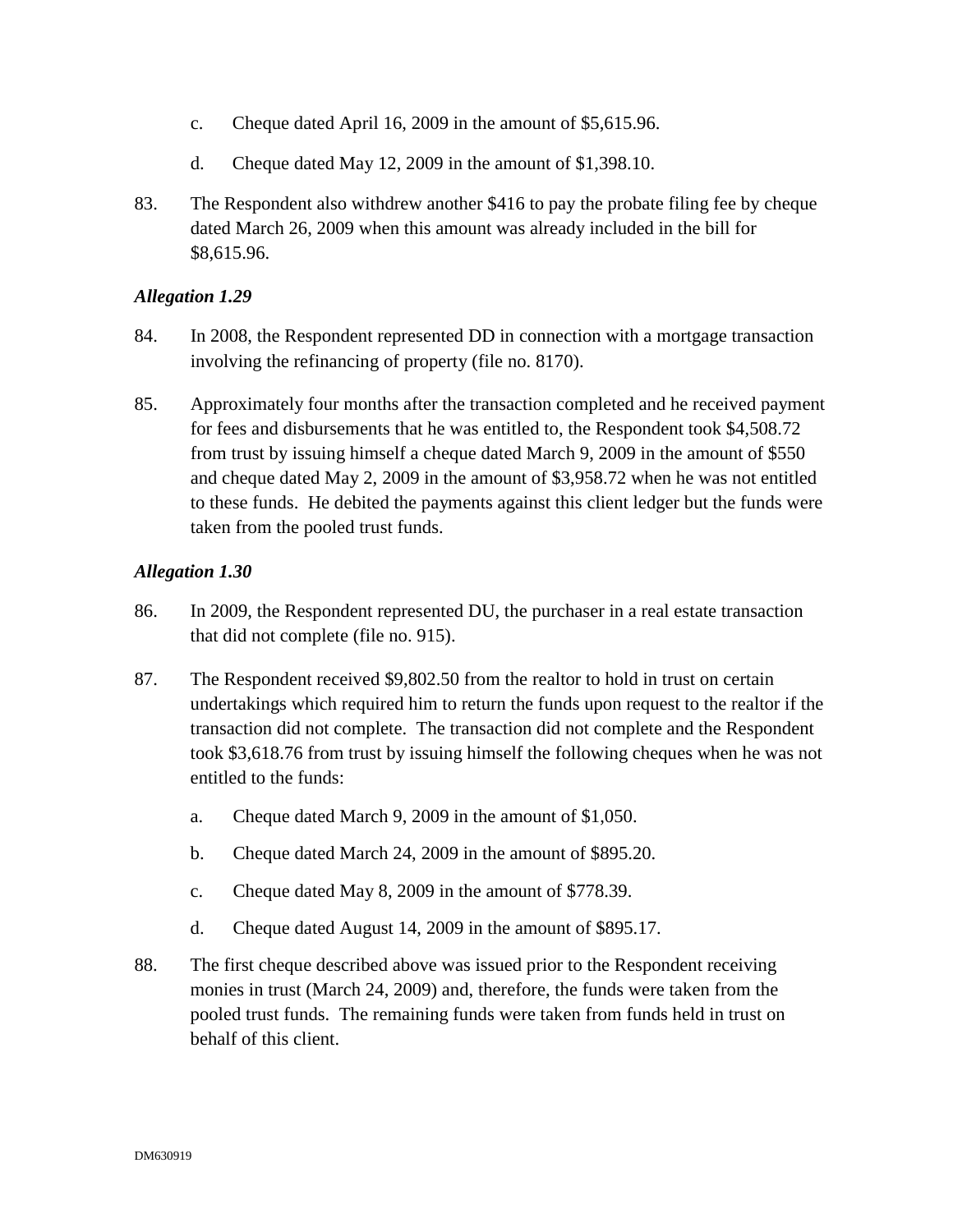- c. Cheque dated April 16, 2009 in the amount of \$5,615.96.
- d. Cheque dated May 12, 2009 in the amount of \$1,398.10.
- 83. The Respondent also withdrew another \$416 to pay the probate filing fee by cheque dated March 26, 2009 when this amount was already included in the bill for \$8,615.96.

- 84. In 2008, the Respondent represented DD in connection with a mortgage transaction involving the refinancing of property (file no. 8170).
- 85. Approximately four months after the transaction completed and he received payment for fees and disbursements that he was entitled to, the Respondent took \$4,508.72 from trust by issuing himself a cheque dated March 9, 2009 in the amount of \$550 and cheque dated May 2, 2009 in the amount of \$3,958.72 when he was not entitled to these funds. He debited the payments against this client ledger but the funds were taken from the pooled trust funds.

- 86. In 2009, the Respondent represented DU, the purchaser in a real estate transaction that did not complete (file no. 915).
- 87. The Respondent received \$9,802.50 from the realtor to hold in trust on certain undertakings which required him to return the funds upon request to the realtor if the transaction did not complete. The transaction did not complete and the Respondent took \$3,618.76 from trust by issuing himself the following cheques when he was not entitled to the funds:
	- a. Cheque dated March 9, 2009 in the amount of \$1,050.
	- b. Cheque dated March 24, 2009 in the amount of \$895.20.
	- c. Cheque dated May 8, 2009 in the amount of \$778.39.
	- d. Cheque dated August 14, 2009 in the amount of \$895.17.
- 88. The first cheque described above was issued prior to the Respondent receiving monies in trust (March 24, 2009) and, therefore, the funds were taken from the pooled trust funds. The remaining funds were taken from funds held in trust on behalf of this client.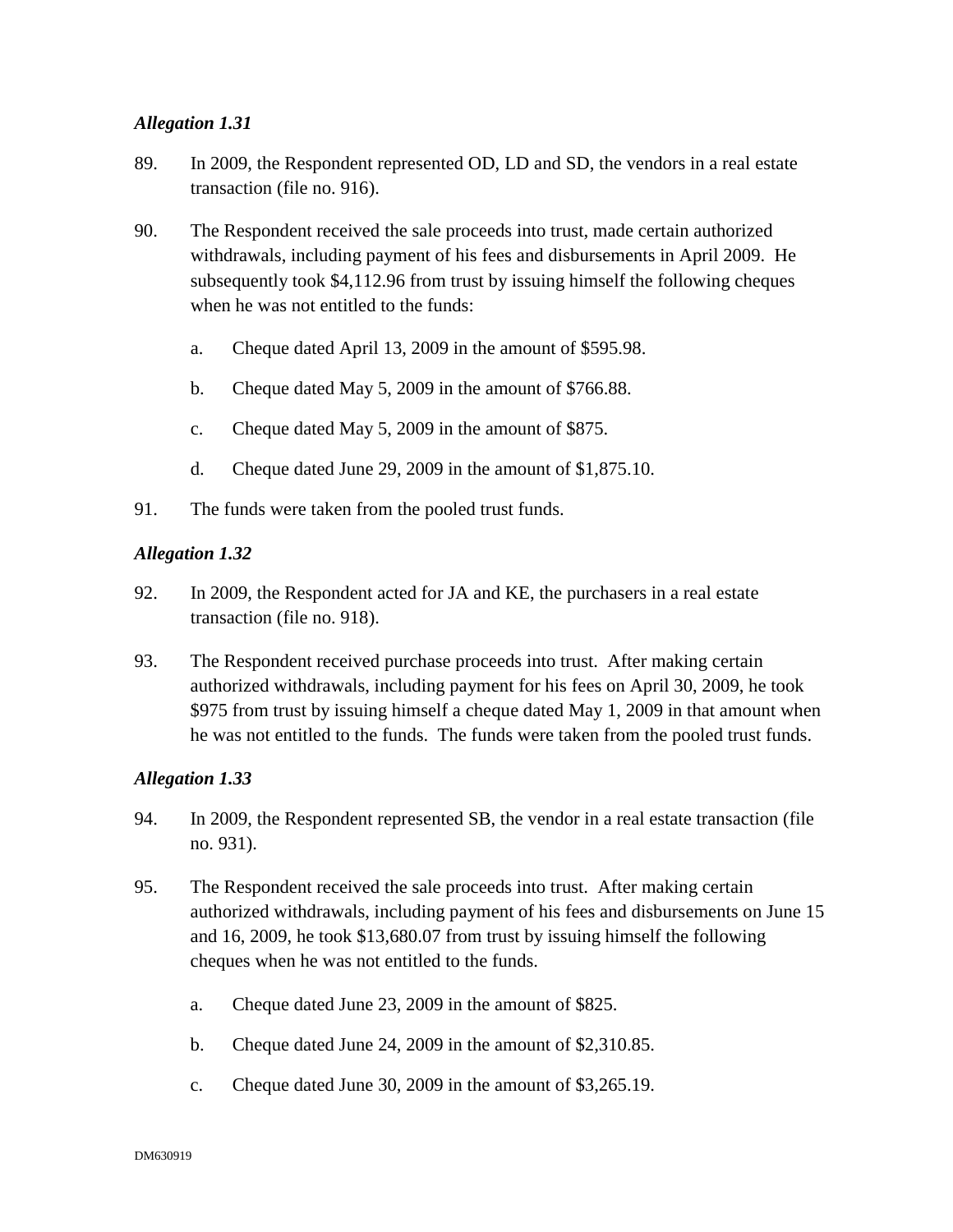- 89. In 2009, the Respondent represented OD, LD and SD, the vendors in a real estate transaction (file no. 916).
- 90. The Respondent received the sale proceeds into trust, made certain authorized withdrawals, including payment of his fees and disbursements in April 2009. He subsequently took \$4,112.96 from trust by issuing himself the following cheques when he was not entitled to the funds:
	- a. Cheque dated April 13, 2009 in the amount of \$595.98.
	- b. Cheque dated May 5, 2009 in the amount of \$766.88.
	- c. Cheque dated May 5, 2009 in the amount of \$875.
	- d. Cheque dated June 29, 2009 in the amount of \$1,875.10.
- 91. The funds were taken from the pooled trust funds.

### *Allegation 1.32*

- 92. In 2009, the Respondent acted for JA and KE, the purchasers in a real estate transaction (file no. 918).
- 93. The Respondent received purchase proceeds into trust. After making certain authorized withdrawals, including payment for his fees on April 30, 2009, he took \$975 from trust by issuing himself a cheque dated May 1, 2009 in that amount when he was not entitled to the funds. The funds were taken from the pooled trust funds.

- 94. In 2009, the Respondent represented SB, the vendor in a real estate transaction (file no. 931).
- 95. The Respondent received the sale proceeds into trust. After making certain authorized withdrawals, including payment of his fees and disbursements on June 15 and 16, 2009, he took \$13,680.07 from trust by issuing himself the following cheques when he was not entitled to the funds.
	- a. Cheque dated June 23, 2009 in the amount of \$825.
	- b. Cheque dated June 24, 2009 in the amount of \$2,310.85.
	- c. Cheque dated June 30, 2009 in the amount of \$3,265.19.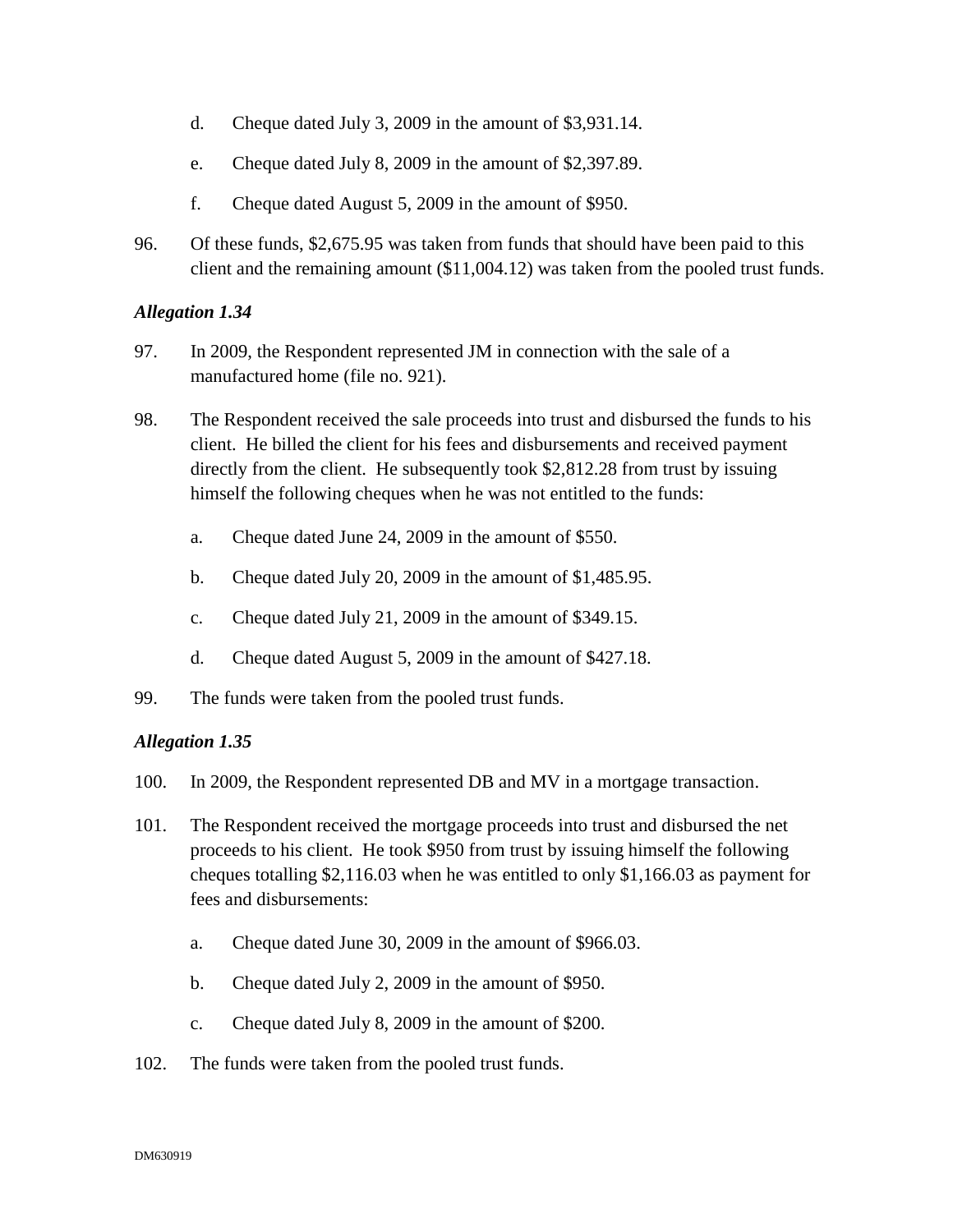- d. Cheque dated July 3, 2009 in the amount of \$3,931.14.
- e. Cheque dated July 8, 2009 in the amount of \$2,397.89.
- f. Cheque dated August 5, 2009 in the amount of \$950.
- 96. Of these funds, \$2,675.95 was taken from funds that should have been paid to this client and the remaining amount (\$11,004.12) was taken from the pooled trust funds.

- 97. In 2009, the Respondent represented JM in connection with the sale of a manufactured home (file no. 921).
- 98. The Respondent received the sale proceeds into trust and disbursed the funds to his client. He billed the client for his fees and disbursements and received payment directly from the client. He subsequently took \$2,812.28 from trust by issuing himself the following cheques when he was not entitled to the funds:
	- a. Cheque dated June 24, 2009 in the amount of \$550.
	- b. Cheque dated July 20, 2009 in the amount of \$1,485.95.
	- c. Cheque dated July 21, 2009 in the amount of \$349.15.
	- d. Cheque dated August 5, 2009 in the amount of \$427.18.
- 99. The funds were taken from the pooled trust funds.

- 100. In 2009, the Respondent represented DB and MV in a mortgage transaction.
- 101. The Respondent received the mortgage proceeds into trust and disbursed the net proceeds to his client. He took \$950 from trust by issuing himself the following cheques totalling \$2,116.03 when he was entitled to only \$1,166.03 as payment for fees and disbursements:
	- a. Cheque dated June 30, 2009 in the amount of \$966.03.
	- b. Cheque dated July 2, 2009 in the amount of \$950.
	- c. Cheque dated July 8, 2009 in the amount of \$200.
- 102. The funds were taken from the pooled trust funds.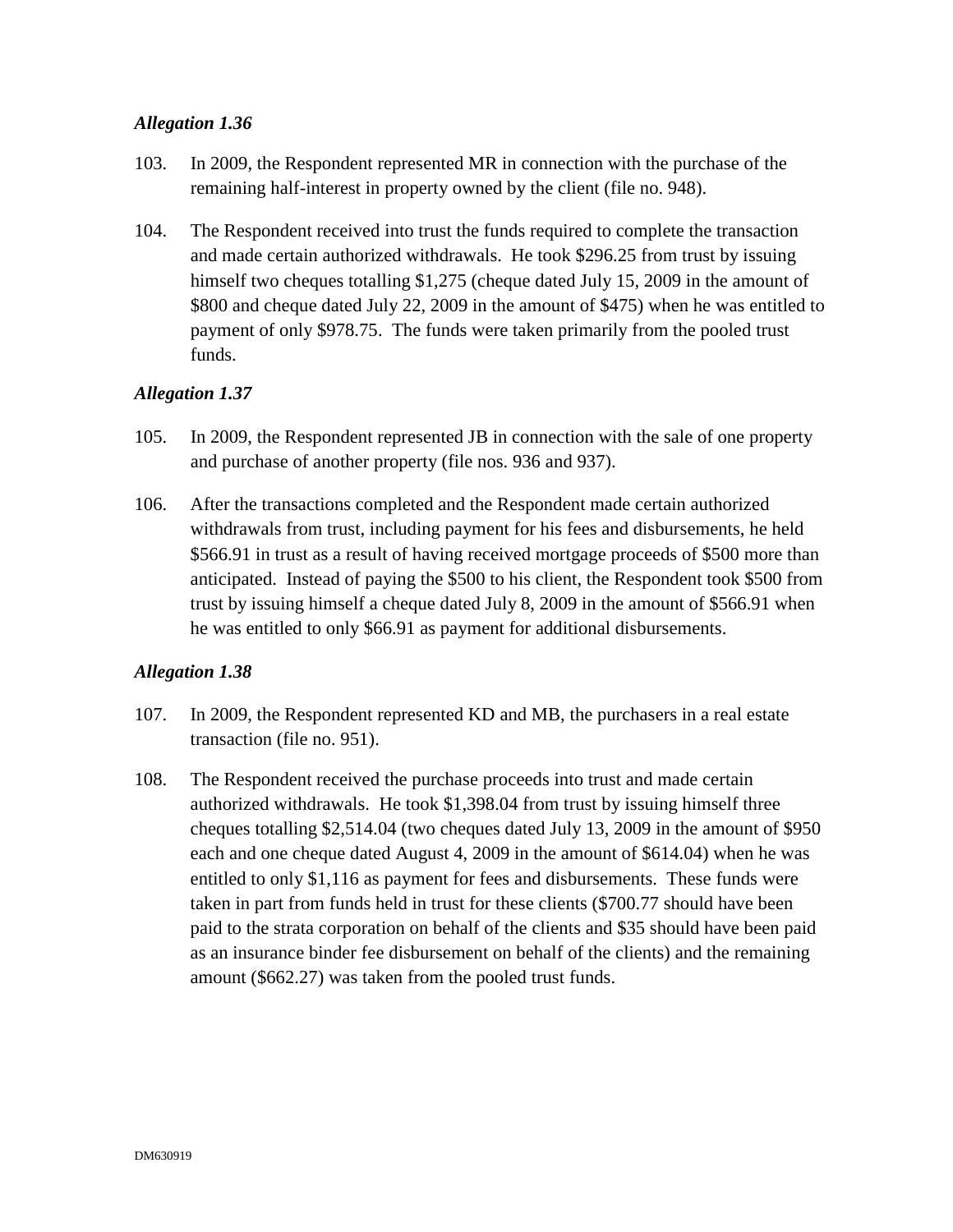- 103. In 2009, the Respondent represented MR in connection with the purchase of the remaining half-interest in property owned by the client (file no. 948).
- 104. The Respondent received into trust the funds required to complete the transaction and made certain authorized withdrawals. He took \$296.25 from trust by issuing himself two cheques totalling \$1,275 (cheque dated July 15, 2009 in the amount of \$800 and cheque dated July 22, 2009 in the amount of \$475) when he was entitled to payment of only \$978.75. The funds were taken primarily from the pooled trust funds.

### *Allegation 1.37*

- 105. In 2009, the Respondent represented JB in connection with the sale of one property and purchase of another property (file nos. 936 and 937).
- 106. After the transactions completed and the Respondent made certain authorized withdrawals from trust, including payment for his fees and disbursements, he held \$566.91 in trust as a result of having received mortgage proceeds of \$500 more than anticipated. Instead of paying the \$500 to his client, the Respondent took \$500 from trust by issuing himself a cheque dated July 8, 2009 in the amount of \$566.91 when he was entitled to only \$66.91 as payment for additional disbursements.

- 107. In 2009, the Respondent represented KD and MB, the purchasers in a real estate transaction (file no. 951).
- 108. The Respondent received the purchase proceeds into trust and made certain authorized withdrawals. He took \$1,398.04 from trust by issuing himself three cheques totalling \$2,514.04 (two cheques dated July 13, 2009 in the amount of \$950 each and one cheque dated August 4, 2009 in the amount of \$614.04) when he was entitled to only \$1,116 as payment for fees and disbursements. These funds were taken in part from funds held in trust for these clients (\$700.77 should have been paid to the strata corporation on behalf of the clients and \$35 should have been paid as an insurance binder fee disbursement on behalf of the clients) and the remaining amount (\$662.27) was taken from the pooled trust funds.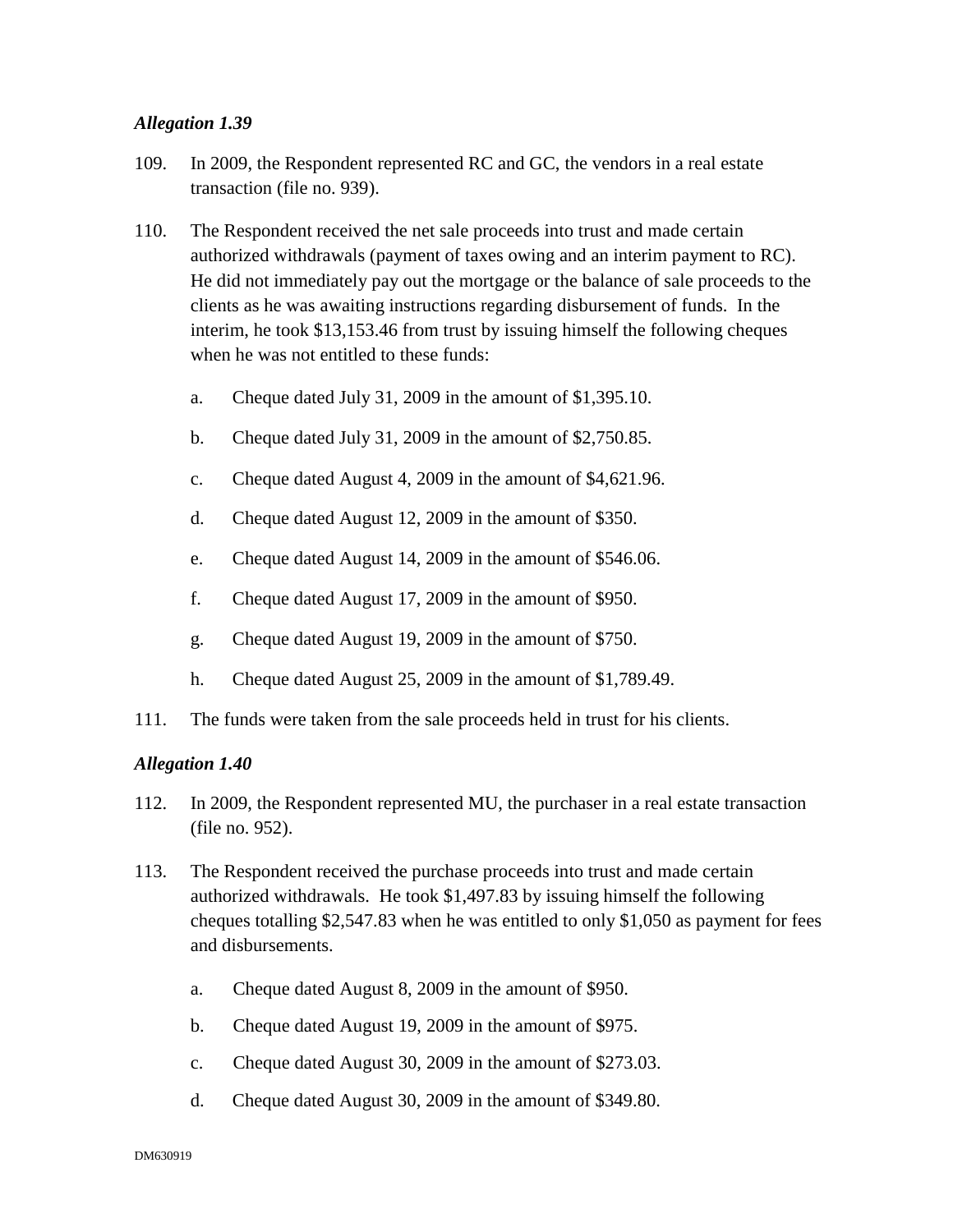- 109. In 2009, the Respondent represented RC and GC, the vendors in a real estate transaction (file no. 939).
- 110. The Respondent received the net sale proceeds into trust and made certain authorized withdrawals (payment of taxes owing and an interim payment to RC). He did not immediately pay out the mortgage or the balance of sale proceeds to the clients as he was awaiting instructions regarding disbursement of funds. In the interim, he took \$13,153.46 from trust by issuing himself the following cheques when he was not entitled to these funds:
	- a. Cheque dated July 31, 2009 in the amount of \$1,395.10.
	- b. Cheque dated July 31, 2009 in the amount of \$2,750.85.
	- c. Cheque dated August 4, 2009 in the amount of \$4,621.96.
	- d. Cheque dated August 12, 2009 in the amount of \$350.
	- e. Cheque dated August 14, 2009 in the amount of \$546.06.
	- f. Cheque dated August 17, 2009 in the amount of \$950.
	- g. Cheque dated August 19, 2009 in the amount of \$750.
	- h. Cheque dated August 25, 2009 in the amount of \$1,789.49.
- 111. The funds were taken from the sale proceeds held in trust for his clients.

- 112. In 2009, the Respondent represented MU, the purchaser in a real estate transaction (file no. 952).
- 113. The Respondent received the purchase proceeds into trust and made certain authorized withdrawals. He took \$1,497.83 by issuing himself the following cheques totalling \$2,547.83 when he was entitled to only \$1,050 as payment for fees and disbursements.
	- a. Cheque dated August 8, 2009 in the amount of \$950.
	- b. Cheque dated August 19, 2009 in the amount of \$975.
	- c. Cheque dated August 30, 2009 in the amount of \$273.03.
	- d. Cheque dated August 30, 2009 in the amount of \$349.80.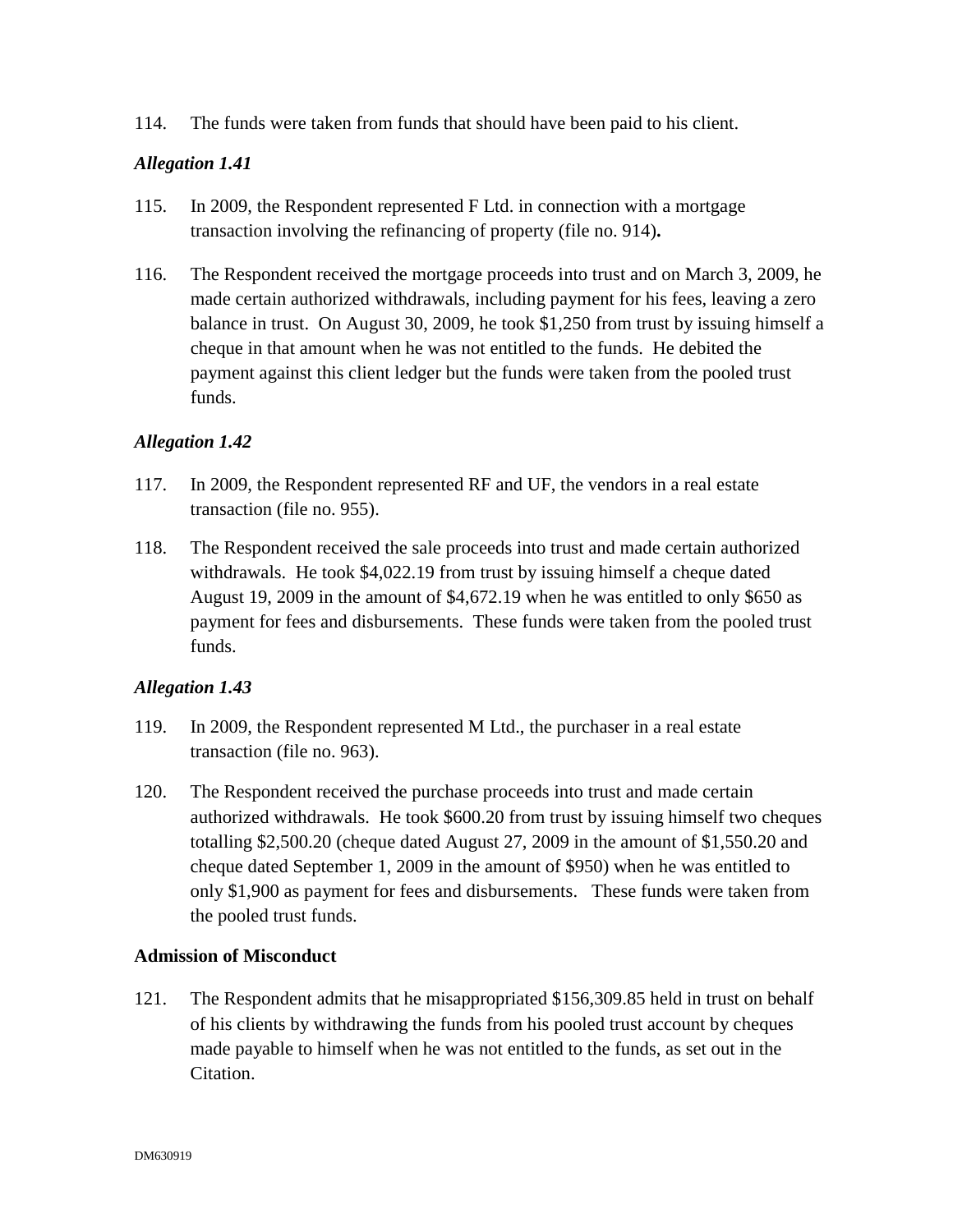114. The funds were taken from funds that should have been paid to his client.

### *Allegation 1.41*

- 115. In 2009, the Respondent represented F Ltd. in connection with a mortgage transaction involving the refinancing of property (file no. 914)**.**
- 116. The Respondent received the mortgage proceeds into trust and on March 3, 2009, he made certain authorized withdrawals, including payment for his fees, leaving a zero balance in trust. On August 30, 2009, he took \$1,250 from trust by issuing himself a cheque in that amount when he was not entitled to the funds. He debited the payment against this client ledger but the funds were taken from the pooled trust funds.

### *Allegation 1.42*

- 117. In 2009, the Respondent represented RF and UF, the vendors in a real estate transaction (file no. 955).
- 118. The Respondent received the sale proceeds into trust and made certain authorized withdrawals. He took \$4,022.19 from trust by issuing himself a cheque dated August 19, 2009 in the amount of \$4,672.19 when he was entitled to only \$650 as payment for fees and disbursements. These funds were taken from the pooled trust funds.

### *Allegation 1.43*

- 119. In 2009, the Respondent represented M Ltd., the purchaser in a real estate transaction (file no. 963).
- 120. The Respondent received the purchase proceeds into trust and made certain authorized withdrawals. He took \$600.20 from trust by issuing himself two cheques totalling \$2,500.20 (cheque dated August 27, 2009 in the amount of \$1,550.20 and cheque dated September 1, 2009 in the amount of \$950) when he was entitled to only \$1,900 as payment for fees and disbursements. These funds were taken from the pooled trust funds.

### **Admission of Misconduct**

121. The Respondent admits that he misappropriated \$156,309.85 held in trust on behalf of his clients by withdrawing the funds from his pooled trust account by cheques made payable to himself when he was not entitled to the funds, as set out in the Citation.